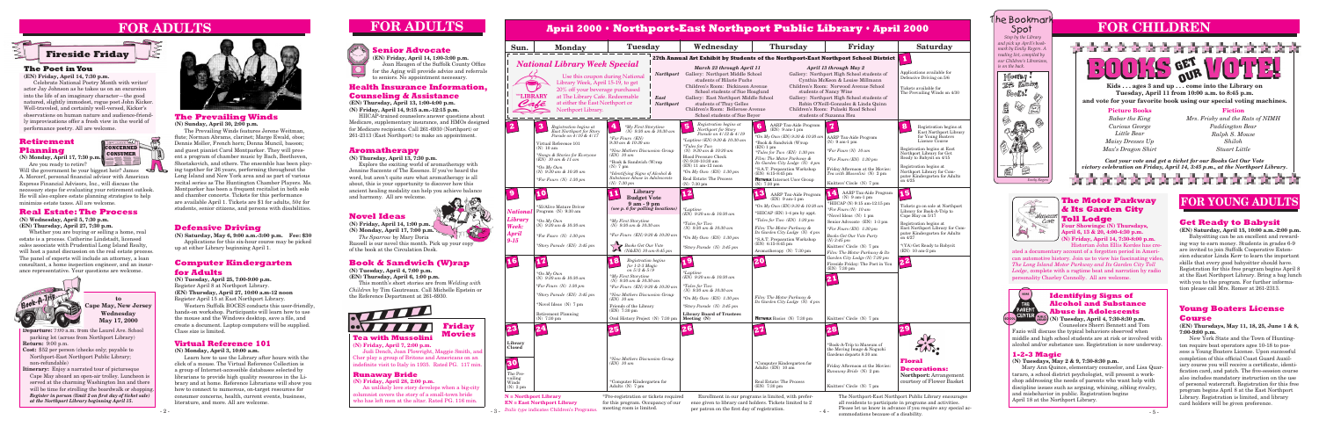# **FOR CHILDREN**





### **The Poet in You**

**(EN) Friday, April 14, 7:30 p.m.**

Celebrate National Poetry Month with writer/ actor Jay Johnson as he takes us on an excursion into the life of an imaginary character—the good natured, slightly immodest, rogue poet John Kicker. Well-traveled, and certainly well-versed, Kicker's observations on human nature and audience-friendly improvisations offer a fresh view in the world of performance poetry. All are welcome.

> - 3 - *Italic type* indicates Children's Programs. meeting room is limited. \*Pre-registration or tickets required for this program. Occupancy of our

# **FOR ADULTS**

Enrollment in our programs is limited, with preference given to library card holders. Tickets limited to 2 per patron on the first day of registration.

 $-4-$ 

**N = Northport Library EN = East Northport Library**

The Northport-East Northport Public Library encourages all residents to participate in programs and activities. Please let us know in advance if you require any special accommodations because of a disability.

### **Computer Kindergarten for Adults**

**(N) Tuesday, April 25, 7:00-9:00 p.m.** Register April 8 at Northport Library. **(EN) Thursday, April 27, 10:00 a.m-12 noon** Register April 15 at East Northport Library.

Western Suffolk BOCES conducts this user-friendly, hands-on workshop. Participants will learn how to use the mouse and the Windows desktop, save a file, and create a document. Laptop computers will be supplied. Class size is limited.

### **Novel Ideas**

**(N) Friday, April 14, 1:00 p.m. (N) Monday, April 17, 7:00 p.m.** *The Sparrow* by Mary Doria

Russell is our novel this month. Pick up your copy of the book at the Circulation Desk.

### **Book & Sandwich (W)rap**

**(N) Tuesday, April 4, 7:00 p.m. (EN) Thursday, April 6, 1:00 p.m.**

This month's short stories are from *Welding with Children* by Tim Gautreaux. Call Michelle Epstein or the Reference Department at 261-6930.

### **Defensive Driving**

### **The Motor Parkway & Its Garden City**  *Extuseum* Toll Lodge

**(N) Saturday, May 6, 9:00 a.m.-3:00 p.m. Fee: \$30**  Applications for this six-hour course may be picked up at either Library beginning April 1.

#### **Aromatherapy**

**(N) Thursday, April 13, 7:30 p.m.**

Explore the exciting world of aromatherapy with Jennine Saccente of The Essence. If you've heard the word, but aren't quite sure what aromatherapy is all about, this is your opportunity to discover how this ancient healing modality can help you achieve balance and harmony. All are welcome.

#### **Health Insurance Information, Counseling & Assistance**

**(EN) Thursday, April 13, 1:00-4:00 p.m. (N) Friday, April 14, 9:15 a.m.-12:15 p.m.**

HIICAP-trained counselors answer questions about Medicare, supplementary insurance, and HMOs designed for Medicare recipients. Call 261-6930 (Northport) or 261-2313 (East Northport) to make an appointment.

### **Senior Advocate**

**(EN) Friday, April 14, 1:00-3:00 p.m.** Joan Haugen of the Suffolk County Office for the Aging will provide advice and referrals to seniors. No appointment necessary.

#### **The Prevailing Winds (N) Sunday, April 30, 2:00 p.m.**

The Prevailing Winds features Jerene Weitman, flute; Norman Abrams, clarinet; Marge Ewald, oboe; Dennis Moller, French horn; Donna Muncil, basson; and guest pianist Carol Montparker. They will present a program of chamber music by Bach, Beethoven, Shostakovich, and others. The ensemble has been playing together for 26 years, performing throughout the Long Island and New York area and as part of various recital series as The Huntington Chamber Players. Ms. Montparker has been a frequent recitalist in both solo and chamber concerts. Tickets for this performance are available April 1. Tickets are \$1 for adults, 50¢ for students, senior citizens, and persons with disabilities.

#### **Identifying Signs of Alcohol and Substance Abuse in Adolescents**

**(N) Tuesday, April 4, 7:30-8:30 p.m.** Counselors Sherri Bennett and Tom



### **1-2-3 Magic**

#### **(N) Tuesdays, May 2 & 9, 7:30-8:30 p.m.**

Mary Ann Quince, elementary counselor, and Lisa Quartararo, a school district psychologist, will present a workshop addressing the needs of parents who want help with discipline issues such as arguing, whining, sibling rivalry, and misbehavior in public. Registration begins April 18 at the Northport Library.

**Departure:** 7:00 a.m. from the Laurel Ave. School parking lot (across from Northport Library) **Return:** 9:00 p.m.

**Cost:** \$52 per person (checks only; payable to Northport-East Northport Public Library; non-refundable)

|                                                                | April 2000 • Northport-East Northport Public Library • April 2000                                                                                                                                                                                                        |                                                                                                                                                                                                                                                                                               |                                                                                                                                                                                                                                                                                                                         |                                                                                                                                                                                                                                                                                                                                                        |                                                                                                                                                                                                                                                                                                                                       |                                                                                                                                                                                                                                                                                       |  |
|----------------------------------------------------------------|--------------------------------------------------------------------------------------------------------------------------------------------------------------------------------------------------------------------------------------------------------------------------|-----------------------------------------------------------------------------------------------------------------------------------------------------------------------------------------------------------------------------------------------------------------------------------------------|-------------------------------------------------------------------------------------------------------------------------------------------------------------------------------------------------------------------------------------------------------------------------------------------------------------------------|--------------------------------------------------------------------------------------------------------------------------------------------------------------------------------------------------------------------------------------------------------------------------------------------------------------------------------------------------------|---------------------------------------------------------------------------------------------------------------------------------------------------------------------------------------------------------------------------------------------------------------------------------------------------------------------------------------|---------------------------------------------------------------------------------------------------------------------------------------------------------------------------------------------------------------------------------------------------------------------------------------|--|
| Sun.                                                           | <b>Monday</b>                                                                                                                                                                                                                                                            | <b>Tuesday</b>                                                                                                                                                                                                                                                                                | Wednesday                                                                                                                                                                                                                                                                                                               | <b>Thursday</b>                                                                                                                                                                                                                                                                                                                                        | Friday                                                                                                                                                                                                                                                                                                                                | <b>Saturday</b>                                                                                                                                                                                                                                                                       |  |
|                                                                | <b>National Library Week Special</b><br>Use this coupon during National<br>Library Week, April 15-19, to get<br>20% off your beverage purchased<br>THE LIBRARY<br>at The Library Cafe. Redeemable<br>Café<br>at either the East Northport or<br>Northport Library.       | <b>East</b><br><b>Northport</b>                                                                                                                                                                                                                                                               | March 23 through April 11<br>Northport Gallery: Northport Middle School<br>students of Hilarie Fuchs<br>Children's Room: Dickinson Avenue<br>School students of Sue Hoaglund<br>Gallery: East Northport Middle School<br>students of Thuy Gelles<br>Children's Room: Bellerose Avenue<br>School students of Sue Beyer   | 27th Annual Art Exhibit by Students of the Northport-East Northport School District                                                                                                                                                                                                                                                                    | April 13 through May 2<br>Gallery: Northport High School students of<br>Cynthia McKeon & Louise Millmann<br>Children's Room: Norwood Avenue School<br>students of Nancy Wine<br>Gallery: Northport High School students of<br>Robin O'Neill-Gonzalez & Linda Quinn<br>Children's Room: Pulaski Road School<br>students of Suzanna Hsu | Applications available for<br>Defensive Driving on 5/6<br>Tickets available for<br>The Prevailing Winds on 4/30                                                                                                                                                                       |  |
| $\mathbf{z}$                                                   | 3<br>Registration begins at<br>East Northport for Story<br>Parade on 4/10 & 4/17<br>Virtual Reference 101<br>$(N)$ 10 am<br>*Songs & Stories for Everyone<br>(EN) 10 am & 11 am<br>$*On My Own$<br>(N) $9.30 \text{ am} \& 10.30 \text{ am}$<br>$*For$ Fours (N) 1:30 pm | *My First Storytime<br>$(N)$ 9:30 am & 10:30 am<br>*For Fours (EN)<br>9:30 am & 10:30 am<br><i>*New Mothers Discussion Group</i><br>(EN) 10 am<br>*Book & Sandwich (W)rap<br>$(N)$ 7 pm<br>*Identifying Signs of Alcohol &<br>Substance Abuse in Adolescents<br>$(N)$ 7:30 pm                 | Registration begins at<br>5<br>Northport for Story<br>Parade on 4/12 & 4/19<br>*Laptime (EN) 9:30 & 10:30 am<br><i>*Tales for Two</i><br>$(N)$ 9:30 am & 10:30 am<br><b>Blood Pressure Check</b><br>$(N)$ 9:30-10:30 am<br>$(EN)$ 11 am-12 noon<br>*On My Own $(EN)$ 1:30 pm<br>Real Estate: The Process<br>(N) 7:30 pm | AARP Tax-Aide Program<br>$6\phantom{1}$<br>$(EN)$ 9 am-1 pm<br>*On My Own (EN) 9:30 & 10:30 an<br>*Book & Sandwich (W)rap<br>(EN) 1 pm<br>*Tales for Two $(EN)$ 1:30 pm<br>Film: The Motor Parkway &<br>Its Garden City Lodge $(N)$ 4 pm<br>*S.A.T. Preparation Workshop<br>$(EN)$ 6:15-8:45 pm<br><b>NETWALK</b> Internet User Group<br>$(N)$ 7:30 pm | $\mathbf{z}$<br><b>AARP</b> Tax-Aide Program<br>$(N)$ 9 am-1 pm<br>*For Fours $(N)$ 10 am<br>$*For$ Fours (EN) 1:30 pm<br>Friday Afternoon at the Movies:<br>Tea with Mussolini (N) 2 pm<br>Knitters' Circle (N) 7 pm                                                                                                                 | Registration begins at<br>East Northport Library<br>for Young Boaters<br>License Course<br>Registration begins at East<br>Northport Library for Get<br>Ready to Babysit on 4/15<br>Registration begins at<br>Northport Library for Com-<br>puter Kindergarten for Adults<br>on $4/25$ |  |
| <b>Nationa</b><br>Library<br>Week:<br><b>April</b><br>$9 - 15$ | *55/Alive Mature Driver<br>Program (N) 9:30 am<br>$*On$ My Own<br>$(N)$ 9:30 am & 10:30 am<br>*For Fours $(N)$ 1:30 pm<br>*Story Parade (EN) 3:45 pm                                                                                                                     | Library<br><b>Budget Vote</b><br>$9am - 9pm$<br>(see $p.6$ for polling locations)<br>*My First Storytime<br>$(N)$ 9:30 am & 10:30 am<br>*For Fours (EN) $9:30 \& 10:30$ am<br>Books Get Our Vote<br>(N&EN) 10 am-8:45 pm                                                                      | 12<br>$*L$ aptime<br>$(EN)$ 9:30 am & 10:30 am<br>$*Tales$ for Two<br>(N) 9:30 am & 10:30 am<br>*On My Own $(EN)$ 1:30 pm<br>*Story Parade $(N)$ 3:45 pm                                                                                                                                                                | AARP Tax-Aide Program<br>$(EN)$ 9 am-1 pm<br>*On My Own (EN) 9:30 & 10:30 an<br>*HIICAP (EN) 1-4 pm by appt.<br>*Tales for Two $(EN)$ 1:30 pm<br>Film: The Motor Parkway &<br>Its Garden City Lodge (N) 4 pm<br>*S.A.T. Preparation Workshop<br>$(EN)$ 6:15-8:45 pm<br>Aromatherapy (N) 7:30 pm                                                        | AARP Tax-Aide Program<br>$(N)$ 9 am-1 pm<br>*HIICAP (N) 9:15 am-12:15 pm<br>*For Fours (N) $10$ am<br>*Novel Ideas (N) 1 pm<br>Senior Advocate (EN) 1-3 pm<br>$*For$ Fours (EN) 1:30 pm<br>Books Get Our Vote Party<br>$(N)$ 3:45 pm<br>Knitters' Circle (N) 7 pm                                                                     | 15<br>Tickets go on sale at Northport<br>Library for Book-A-Trip to<br>Cape May on 5/17<br>Registration begins at<br>East Northport Library for Com-<br>puter Kindergarten for Adults<br>on 4/27<br>*(YA) Get Ready to Babysit<br>$(EN)$ 10 am-2 pm                                   |  |
| 16                                                             | 117<br>*On My Own<br>$(N)$ 9:30 am & 10:30 am<br>*For Fours $(N)$ 1:30 pm<br>*Story Parade (EN) 3:45 pm<br>*Novel Ideas (N) 7 pm<br><b>Retirement Planning</b><br>$(N)$ 7:30 pm                                                                                          | 18<br>Registration begins<br>for 1-2-3 Magic<br>on $5/2 & 5/9$<br>*My First Storytime<br>$(N)$ 9:30 am & 10:30 am<br>*For Fours (EN) $9:30 \& 10:30$ am<br><i>*New Mothers Discussion Group</i><br>$(EN)$ 10 am<br>Friends of the Library<br>(EN) 7:30 pm<br>Oral History Project (N) 7:30 pm | 19<br><i>*Laptime</i><br>(EN) 9:30 am & 10:30 am<br><i>*Tales for Two</i><br>$(N)$ 9:30 am & 10:30 am<br>*On My Own $(EN)$ 1:30 pm<br>*Story Parade (N) 3:45 pm<br><b>Library Board of Trustees</b><br>Meeting (N)                                                                                                      | 20 <br>Film: The Motor Parkway &<br>Its Garden City Lodge $(N)$ 4 pm<br><b>NETWALK</b> Basics (N) 7:30 pm                                                                                                                                                                                                                                              | Film: The Motor Parkway & Its<br>Garden City Lodge (N) 7:30 pm<br>Fireside Friday: The Poet in You<br>(EN) 7:30 pm<br>Knitters' Circle (N) 7 pm                                                                                                                                                                                       | 22                                                                                                                                                                                                                                                                                    |  |
| 23 <br>Library<br><b>Closed</b><br>30<br>The Pre-              | 24                                                                                                                                                                                                                                                                       | 25<br><i>*New Mothers Discussion Group</i><br>(EN) 10 am                                                                                                                                                                                                                                      | 20                                                                                                                                                                                                                                                                                                                      | 27<br>*Computer Kindergarten for<br>Adults (EN) 10 am                                                                                                                                                                                                                                                                                                  | *Book-A-Trip to Museum of<br>the Moving Image & Noguchi<br>Gardens departs 8:30 am<br>Friday Afternoon at the Movies:<br>Runaway Bride (N) 2 pm                                                                                                                                                                                       | <b>Floral</b><br><b>Decorations:</b><br><b>Northport:</b> Arrangement                                                                                                                                                                                                                 |  |

**Itinerary:** Enjoy a narrated tour of picturesque Cape May aboard an open-air trolley. Luncheon is served at the charming Washington Inn and there will be time for strolling the boardwalk or shopping. *Register in person (limit 2 on first day of ticket sale) at the Northport Library beginning April 15.*





**to Cape May, New Jersey Wednesday May 17, 2000**



**(N) Friday, April 7, 2:00 p.m.**

Judi Dench, Joan Plowright, Maggie Smith, and Cher play a group of Britons and Americans on an indefinite visit to Italy in 1935. Rated PG. 117 min.



#### **Runaway Bride**

**(N) Friday, April 28, 2:00 p.m.**

An unlikely love story develops when a big-city columnist covers the story of a small-town bride who has left men at the altar. Rated PG. 116 min.

### **Virtual Reference 101**

#### **(N) Monday, April 3, 10:00 a.m.**

Learn how to use the Library after hours with the click of a mouse. The Virtual Reference Collection is a group of Internet-accessible databases selected by librarians to provide high quality resources in the Library and at home. Reference Librarians will show you how to connect to numerous, on-target resources for consumer concerns, health, current events, business, literature, and more. All are welcome.

**Four Showings: (N) Thursdays, April 6, 13 & 20, 4:00-4:30 p.m. (N) Friday, April 14, 7:30-8:00 p.m.** Historian John Ellis Kordes has cre-

Fazio will discuss the typical behaviors observed when middle and high school students are at risk or involved with alcohol and/or substance use. Registration is now underway.

### **Young Boaters License**

#### **Course**

**(EN) Thursdays, May 11, 18, 25, June 1 & 8, 7:00-9:00 p.m.**

New York State and the Town of Huntington require boat operators ages 10-18 to possess a Young Boaters License. Upon successful completion of this official Coast Guard Auxiliary course you will receive a certificate, identification card, and patch. The five-session course also includes mandatory instruction on the use of personal watercraft. Registration for this free program begins April 8 at the East Northport Library. Registration is limited, and library card holders will be given preference.

### **Get Ready to Babysit**

**(EN) Saturday, April 15, 10:00 a.m.-2:00 p.m.** Babysitting can be an excellent and rewarding way to earn money. Students in grades 6-9 are invited to join Suffolk Cooperative Extension educator Linda Kerr to learn the important skills that every good babysitter should have. Registration for this free program begins April 8 at the East Northport Library. Bring a bag lunch with you to the program. For further information please call Mrs. Romer at 261-2313.

## **FOR YOUNG ADULTS**

ated a documentary account of a forgotten period in American automotive history. Join us to view his fascinating video, *The Long Island Motor Parkway and Its Garden City Toll Lodge*, complete with a ragtime beat and narration by radio personality Charley Connolly. All are welcome.







**Kids . . . ages 3 and up . . . come into the Library on Tuesday, April 11 from 10:00 a.m. to 8:45 p.m. and vote for your favorite book using our special voting machines.**

> *Babar the King Curious George Little Bear Maisy Dresses Up Max's Dragon Shirt*

*Mrs. Frisby and the Rats of NIMH Paddington Bear Ralph S. Mouse Shiloh Stuart Little*

#### **Picture Books Fiction**

*Cast your vote and get a ticket for our Books Get Our Vote victory celebration on Friday, April 14, 3:45 p.m., at the Northport Library.*





# **FOR ADULTS**



### **Retirement Planning**

**(N) Monday, April 17, 7:30 p.m.** Are you ready to retire?

Will the government be your biggest heir? James  $\frac{1}{2}$ A. Morcerf, personal financial advisor with American Express Financial Advisors, Inc., will discuss the necessary steps for evaluating your retirement outlook. He will also explore estate planning strategies to help minimize estate taxes. All are welcome.

#### **Real Estate: The Process**

**(N) Wednesday, April 5, 7:30 p.m. (EN) Thursday, April 27, 7:30 p.m.**

Whether you are buying or selling a home, real estate is a process. Catherine Lindstadt, licensed sales associate with Prudential Long Island Realty, will host a panel discussion on the real estate process. The panel of experts will include an attorney, a loan consultant, a home inspection engineer, and an insurance representative. Your questions are welcome.